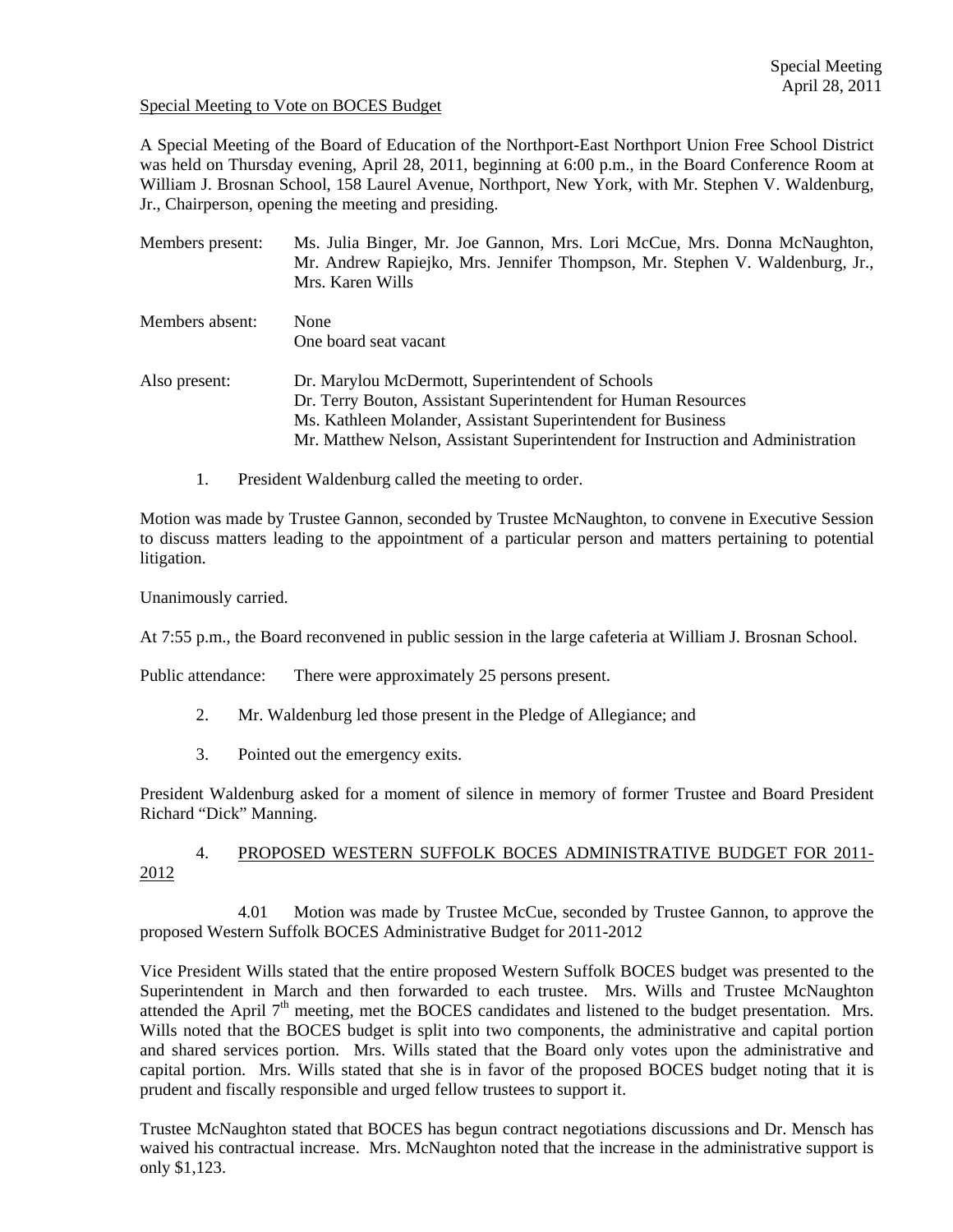#### Special Meeting to Vote on BOCES Budget

A Special Meeting of the Board of Education of the Northport-East Northport Union Free School District was held on Thursday evening, April 28, 2011, beginning at 6:00 p.m., in the Board Conference Room at William J. Brosnan School, 158 Laurel Avenue, Northport, New York, with Mr. Stephen V. Waldenburg, Jr., Chairperson, opening the meeting and presiding.

| Members present: | Ms. Julia Binger, Mr. Joe Gannon, Mrs. Lori McCue, Mrs. Donna McNaughton,<br>Mr. Andrew Rapiejko, Mrs. Jennifer Thompson, Mr. Stephen V. Waldenburg, Jr.,<br>Mrs. Karen Wills                                                                                         |
|------------------|-----------------------------------------------------------------------------------------------------------------------------------------------------------------------------------------------------------------------------------------------------------------------|
| Members absent:  | None<br>One board seat vacant                                                                                                                                                                                                                                         |
| Also present:    | Dr. Marylou McDermott, Superintendent of Schools<br>Dr. Terry Bouton, Assistant Superintendent for Human Resources<br>Ms. Kathleen Molander, Assistant Superintendent for Business<br>Mr. Matthew Nelson, Assistant Superintendent for Instruction and Administration |

1. President Waldenburg called the meeting to order.

Motion was made by Trustee Gannon, seconded by Trustee McNaughton, to convene in Executive Session to discuss matters leading to the appointment of a particular person and matters pertaining to potential litigation.

Unanimously carried.

At 7:55 p.m., the Board reconvened in public session in the large cafeteria at William J. Brosnan School.

Public attendance: There were approximately 25 persons present.

- 2. Mr. Waldenburg led those present in the Pledge of Allegiance; and
- 3. Pointed out the emergency exits.

President Waldenburg asked for a moment of silence in memory of former Trustee and Board President Richard "Dick" Manning.

# 4. PROPOSED WESTERN SUFFOLK BOCES ADMINISTRATIVE BUDGET FOR 2011- 2012

 4.01 Motion was made by Trustee McCue, seconded by Trustee Gannon, to approve the proposed Western Suffolk BOCES Administrative Budget for 2011-2012

Vice President Wills stated that the entire proposed Western Suffolk BOCES budget was presented to the Superintendent in March and then forwarded to each trustee. Mrs. Wills and Trustee McNaughton attended the April  $7<sup>th</sup>$  meeting, met the BOCES candidates and listened to the budget presentation. Mrs. Wills noted that the BOCES budget is split into two components, the administrative and capital portion and shared services portion. Mrs. Wills stated that the Board only votes upon the administrative and capital portion. Mrs. Wills stated that she is in favor of the proposed BOCES budget noting that it is prudent and fiscally responsible and urged fellow trustees to support it.

Trustee McNaughton stated that BOCES has begun contract negotiations discussions and Dr. Mensch has waived his contractual increase. Mrs. McNaughton noted that the increase in the administrative support is only \$1,123.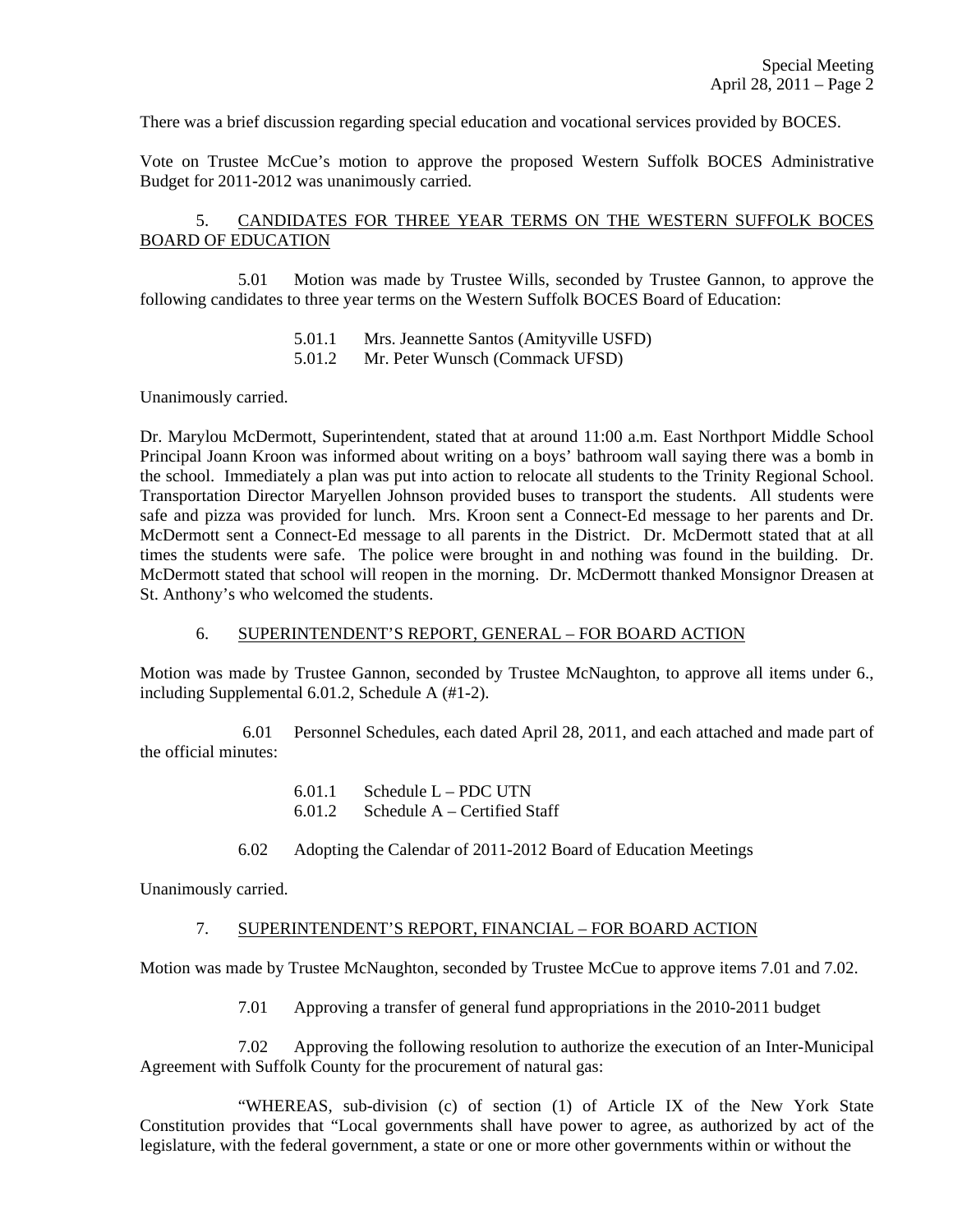There was a brief discussion regarding special education and vocational services provided by BOCES.

Vote on Trustee McCue's motion to approve the proposed Western Suffolk BOCES Administrative Budget for 2011-2012 was unanimously carried.

## 5. CANDIDATES FOR THREE YEAR TERMS ON THE WESTERN SUFFOLK BOCES BOARD OF EDUCATION

 5.01 Motion was made by Trustee Wills, seconded by Trustee Gannon, to approve the following candidates to three year terms on the Western Suffolk BOCES Board of Education:

- 5.01.1 Mrs. Jeannette Santos (Amityville USFD)
- 5.01.2 Mr. Peter Wunsch (Commack UFSD)

Unanimously carried.

Dr. Marylou McDermott, Superintendent, stated that at around 11:00 a.m. East Northport Middle School Principal Joann Kroon was informed about writing on a boys' bathroom wall saying there was a bomb in the school. Immediately a plan was put into action to relocate all students to the Trinity Regional School. Transportation Director Maryellen Johnson provided buses to transport the students. All students were safe and pizza was provided for lunch. Mrs. Kroon sent a Connect-Ed message to her parents and Dr. McDermott sent a Connect-Ed message to all parents in the District. Dr. McDermott stated that at all times the students were safe. The police were brought in and nothing was found in the building. Dr. McDermott stated that school will reopen in the morning. Dr. McDermott thanked Monsignor Dreasen at St. Anthony's who welcomed the students.

### 6. SUPERINTENDENT'S REPORT, GENERAL – FOR BOARD ACTION

Motion was made by Trustee Gannon, seconded by Trustee McNaughton, to approve all items under 6., including Supplemental 6.01.2, Schedule A (#1-2).

 6.01 Personnel Schedules, each dated April 28, 2011, and each attached and made part of the official minutes:

- 6.01.1 Schedule L PDC UTN
- 6.01.2 Schedule A Certified Staff
- 6.02 Adopting the Calendar of 2011-2012 Board of Education Meetings

Unanimously carried.

### 7. SUPERINTENDENT'S REPORT, FINANCIAL – FOR BOARD ACTION

Motion was made by Trustee McNaughton, seconded by Trustee McCue to approve items 7.01 and 7.02.

7.01 Approving a transfer of general fund appropriations in the 2010-2011 budget

7.02 Approving the following resolution to authorize the execution of an Inter-Municipal Agreement with Suffolk County for the procurement of natural gas:

 "WHEREAS, sub-division (c) of section (1) of Article IX of the New York State Constitution provides that "Local governments shall have power to agree, as authorized by act of the legislature, with the federal government, a state or one or more other governments within or without the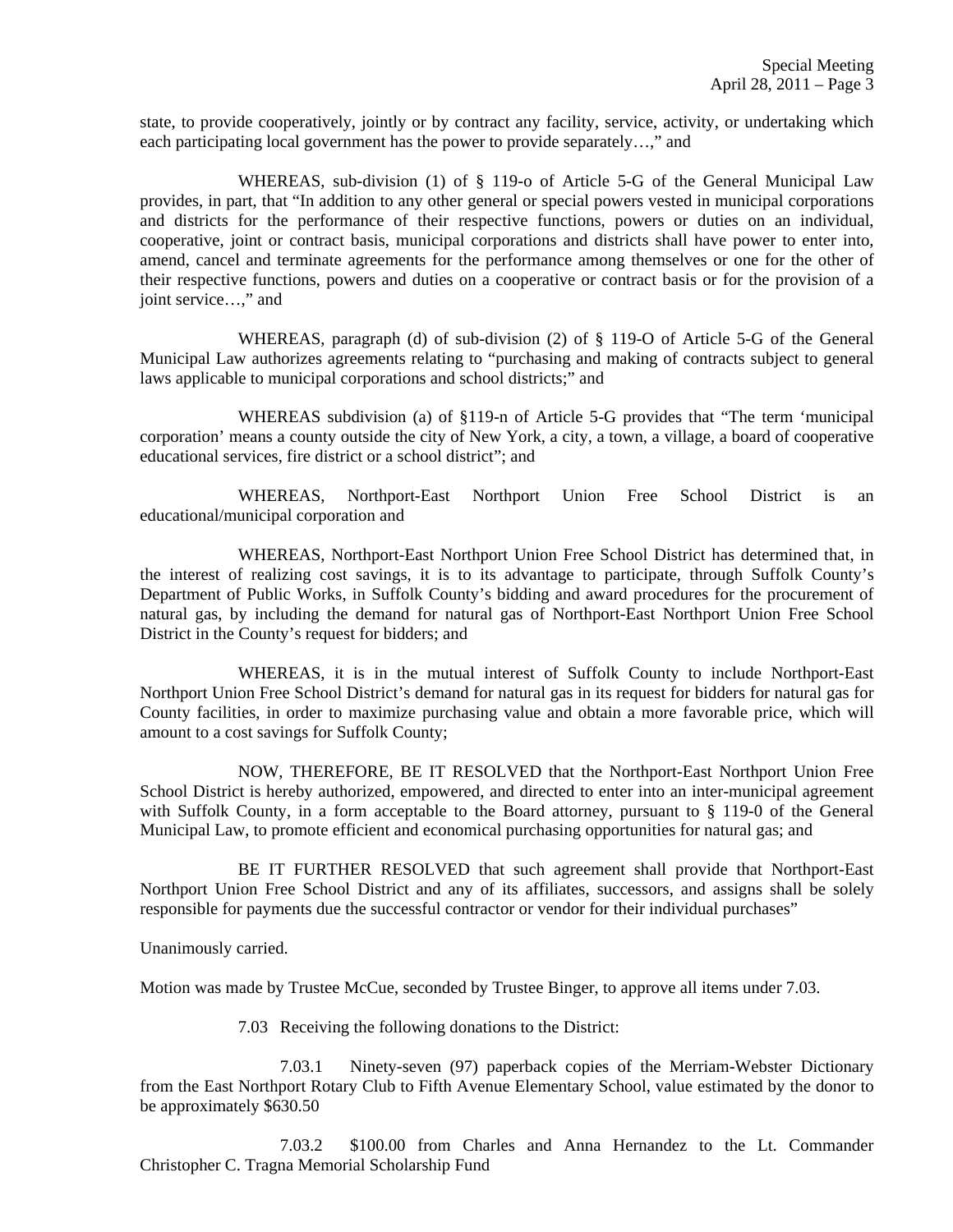state, to provide cooperatively, jointly or by contract any facility, service, activity, or undertaking which each participating local government has the power to provide separately…," and

 WHEREAS, sub-division (1) of § 119-o of Article 5-G of the General Municipal Law provides, in part, that "In addition to any other general or special powers vested in municipal corporations and districts for the performance of their respective functions, powers or duties on an individual, cooperative, joint or contract basis, municipal corporations and districts shall have power to enter into, amend, cancel and terminate agreements for the performance among themselves or one for the other of their respective functions, powers and duties on a cooperative or contract basis or for the provision of a joint service…," and

 WHEREAS, paragraph (d) of sub-division (2) of § 119-O of Article 5-G of the General Municipal Law authorizes agreements relating to "purchasing and making of contracts subject to general laws applicable to municipal corporations and school districts;" and

 WHEREAS subdivision (a) of §119-n of Article 5-G provides that "The term 'municipal corporation' means a county outside the city of New York, a city, a town, a village, a board of cooperative educational services, fire district or a school district"; and

 WHEREAS, Northport-East Northport Union Free School District is an educational/municipal corporation and

 WHEREAS, Northport-East Northport Union Free School District has determined that, in the interest of realizing cost savings, it is to its advantage to participate, through Suffolk County's Department of Public Works, in Suffolk County's bidding and award procedures for the procurement of natural gas, by including the demand for natural gas of Northport-East Northport Union Free School District in the County's request for bidders; and

 WHEREAS, it is in the mutual interest of Suffolk County to include Northport-East Northport Union Free School District's demand for natural gas in its request for bidders for natural gas for County facilities, in order to maximize purchasing value and obtain a more favorable price, which will amount to a cost savings for Suffolk County;

 NOW, THEREFORE, BE IT RESOLVED that the Northport-East Northport Union Free School District is hereby authorized, empowered, and directed to enter into an inter-municipal agreement with Suffolk County, in a form acceptable to the Board attorney, pursuant to § 119-0 of the General Municipal Law, to promote efficient and economical purchasing opportunities for natural gas; and

 BE IT FURTHER RESOLVED that such agreement shall provide that Northport-East Northport Union Free School District and any of its affiliates, successors, and assigns shall be solely responsible for payments due the successful contractor or vendor for their individual purchases"

Unanimously carried.

Motion was made by Trustee McCue, seconded by Trustee Binger, to approve all items under 7.03.

7.03 Receiving the following donations to the District:

7.03.1 Ninety-seven (97) paperback copies of the Merriam-Webster Dictionary from the East Northport Rotary Club to Fifth Avenue Elementary School, value estimated by the donor to be approximately \$630.50

7.03.2 \$100.00 from Charles and Anna Hernandez to the Lt. Commander Christopher C. Tragna Memorial Scholarship Fund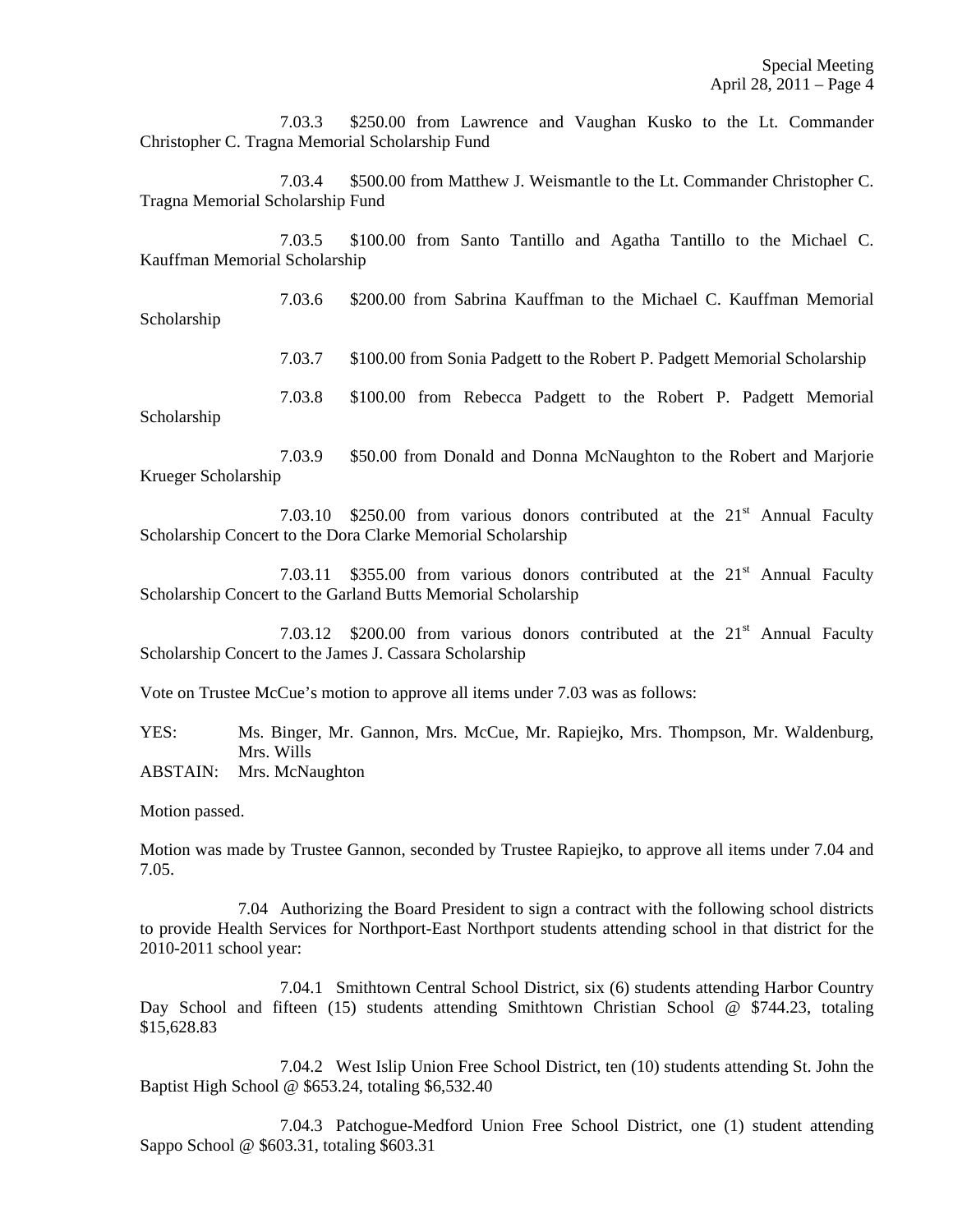7.03.3 \$250.00 from Lawrence and Vaughan Kusko to the Lt. Commander Christopher C. Tragna Memorial Scholarship Fund

7.03.4 \$500.00 from Matthew J. Weismantle to the Lt. Commander Christopher C. Tragna Memorial Scholarship Fund

7.03.5 \$100.00 from Santo Tantillo and Agatha Tantillo to the Michael C. Kauffman Memorial Scholarship

7.03.6 \$200.00 from Sabrina Kauffman to the Michael C. Kauffman Memorial Scholarship

7.03.7 \$100.00 from Sonia Padgett to the Robert P. Padgett Memorial Scholarship

7.03.8 \$100.00 from Rebecca Padgett to the Robert P. Padgett Memorial Scholarship

7.03.9 \$50.00 from Donald and Donna McNaughton to the Robert and Marjorie Krueger Scholarship

7.03.10  $$250.00$  from various donors contributed at the  $21<sup>st</sup>$  Annual Faculty Scholarship Concert to the Dora Clarke Memorial Scholarship

7.03.11 \$355.00 from various donors contributed at the 21<sup>st</sup> Annual Faculty Scholarship Concert to the Garland Butts Memorial Scholarship

7.03.12 \$200.00 from various donors contributed at the 21<sup>st</sup> Annual Faculty Scholarship Concert to the James J. Cassara Scholarship

Vote on Trustee McCue's motion to approve all items under 7.03 was as follows:

YES: Ms. Binger, Mr. Gannon, Mrs. McCue, Mr. Rapiejko, Mrs. Thompson, Mr. Waldenburg, Mrs. Wills

ABSTAIN: Mrs. McNaughton

Motion passed.

Motion was made by Trustee Gannon, seconded by Trustee Rapiejko, to approve all items under 7.04 and 7.05.

 7.04 Authorizing the Board President to sign a contract with the following school districts to provide Health Services for Northport-East Northport students attending school in that district for the 2010-2011 school year:

 7.04.1 Smithtown Central School District, six (6) students attending Harbor Country Day School and fifteen (15) students attending Smithtown Christian School @ \$744.23, totaling \$15,628.83

 7.04.2 West Islip Union Free School District, ten (10) students attending St. John the Baptist High School @ \$653.24, totaling \$6,532.40

 7.04.3 Patchogue-Medford Union Free School District, one (1) student attending Sappo School @ \$603.31, totaling \$603.31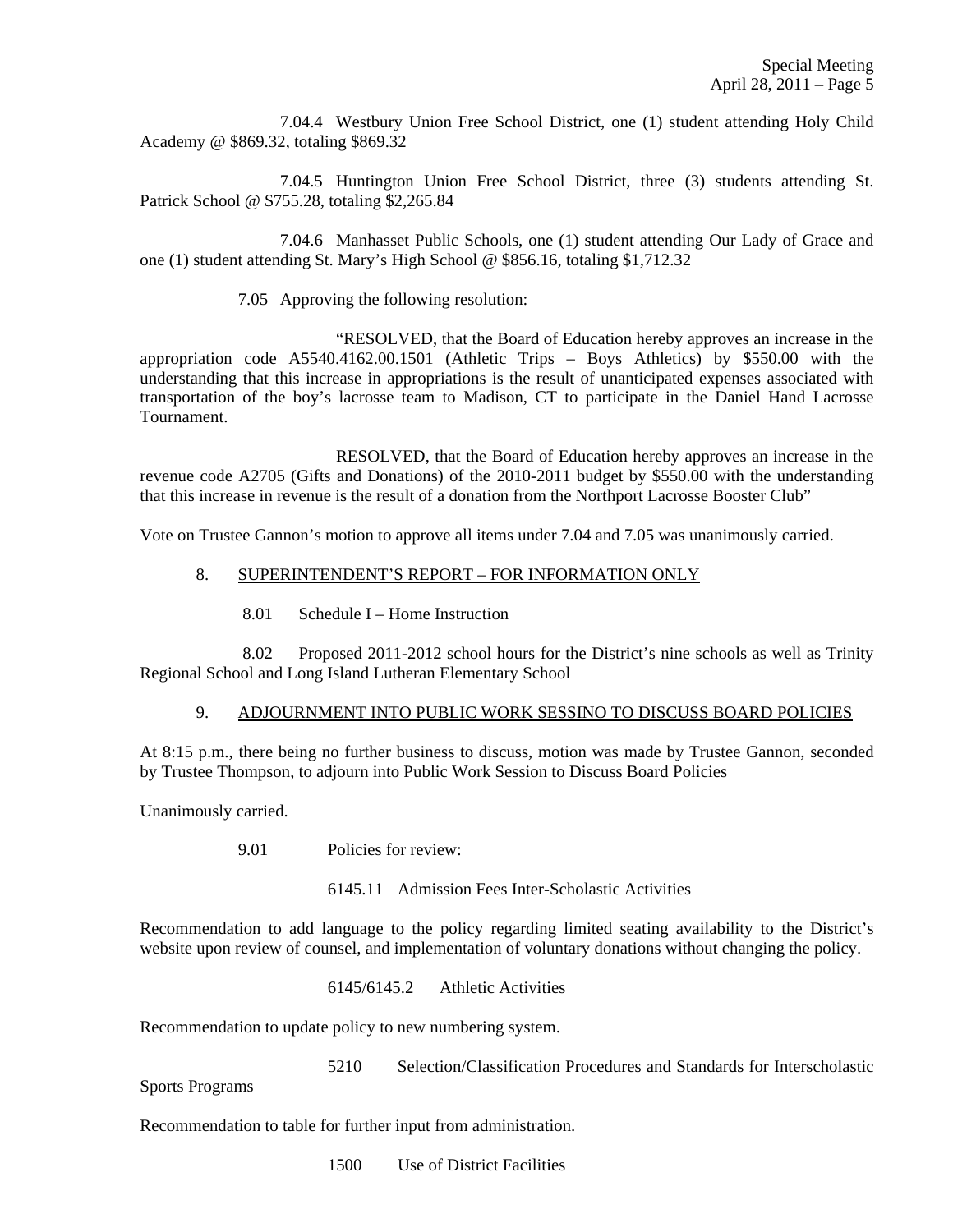7.04.4 Westbury Union Free School District, one (1) student attending Holy Child Academy @ \$869.32, totaling \$869.32

 7.04.5 Huntington Union Free School District, three (3) students attending St. Patrick School @ \$755.28, totaling \$2,265.84

 7.04.6 Manhasset Public Schools, one (1) student attending Our Lady of Grace and one (1) student attending St. Mary's High School @ \$856.16, totaling \$1,712.32

7.05 Approving the following resolution:

 "RESOLVED, that the Board of Education hereby approves an increase in the appropriation code A5540.4162.00.1501 (Athletic Trips – Boys Athletics) by \$550.00 with the understanding that this increase in appropriations is the result of unanticipated expenses associated with transportation of the boy's lacrosse team to Madison, CT to participate in the Daniel Hand Lacrosse Tournament.

 RESOLVED, that the Board of Education hereby approves an increase in the revenue code A2705 (Gifts and Donations) of the 2010-2011 budget by \$550.00 with the understanding that this increase in revenue is the result of a donation from the Northport Lacrosse Booster Club"

Vote on Trustee Gannon's motion to approve all items under 7.04 and 7.05 was unanimously carried.

#### 8. SUPERINTENDENT'S REPORT – FOR INFORMATION ONLY

8.01 Schedule I – Home Instruction

 8.02 Proposed 2011-2012 school hours for the District's nine schools as well as Trinity Regional School and Long Island Lutheran Elementary School

# 9. ADJOURNMENT INTO PUBLIC WORK SESSINO TO DISCUSS BOARD POLICIES

At 8:15 p.m., there being no further business to discuss, motion was made by Trustee Gannon, seconded by Trustee Thompson, to adjourn into Public Work Session to Discuss Board Policies

Unanimously carried.

9.01 Policies for review:

6145.11 Admission Fees Inter-Scholastic Activities

Recommendation to add language to the policy regarding limited seating availability to the District's website upon review of counsel, and implementation of voluntary donations without changing the policy.

6145/6145.2 Athletic Activities

Recommendation to update policy to new numbering system.

5210 Selection/Classification Procedures and Standards for Interscholastic

Sports Programs

Recommendation to table for further input from administration.

1500 Use of District Facilities